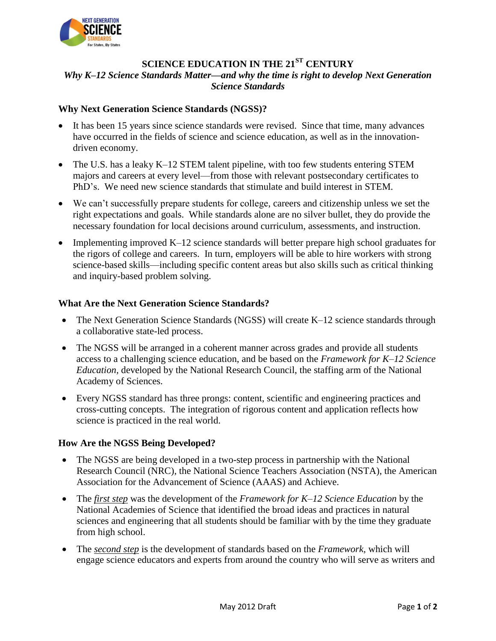

# **SCIENCE EDUCATION IN THE 21ST CENTURY** *Why K–12 Science Standards Matter—and why the time is right to develop Next Generation Science Standards*

### **Why Next Generation Science Standards (NGSS)?**

- It has been 15 years since science standards were revised. Since that time, many advances have occurred in the fields of science and science education, as well as in the innovationdriven economy.
- The U.S. has a leaky K–12 STEM talent pipeline, with too few students entering STEM majors and careers at every level—from those with relevant postsecondary certificates to PhD's. We need new science standards that stimulate and build interest in STEM.
- We can't successfully prepare students for college, careers and citizenship unless we set the right expectations and goals. While standards alone are no silver bullet, they do provide the necessary foundation for local decisions around curriculum, assessments, and instruction.
- Implementing improved K–12 science standards will better prepare high school graduates for the rigors of college and careers. In turn, employers will be able to hire workers with strong science-based skills—including specific content areas but also skills such as critical thinking and inquiry-based problem solving.

#### **What Are the Next Generation Science Standards?**

- The Next Generation Science Standards (NGSS) will create K-12 science standards through a collaborative state-led process.
- The NGSS will be arranged in a coherent manner across grades and provide all students access to a challenging science education, and be based on the *Framework for K–12 Science Education,* developed by the National Research Council, the staffing arm of the National Academy of Sciences.
- Every NGSS standard has three prongs: content, scientific and engineering practices and cross-cutting concepts. The integration of rigorous content and application reflects how science is practiced in the real world.

## **How Are the NGSS Being Developed?**

- The NGSS are being developed in a two-step process in partnership with the National Research Council (NRC), the National Science Teachers Association (NSTA), the American Association for the Advancement of Science (AAAS) and Achieve.
- The *first step* was the development of the *Framework for K–12 Science Education* by the National Academies of Science that identified the broad ideas and practices in natural sciences and engineering that all students should be familiar with by the time they graduate from high school.
- The *second step* is the development of standards based on the *Framework,* which will engage science educators and experts from around the country who will serve as writers and